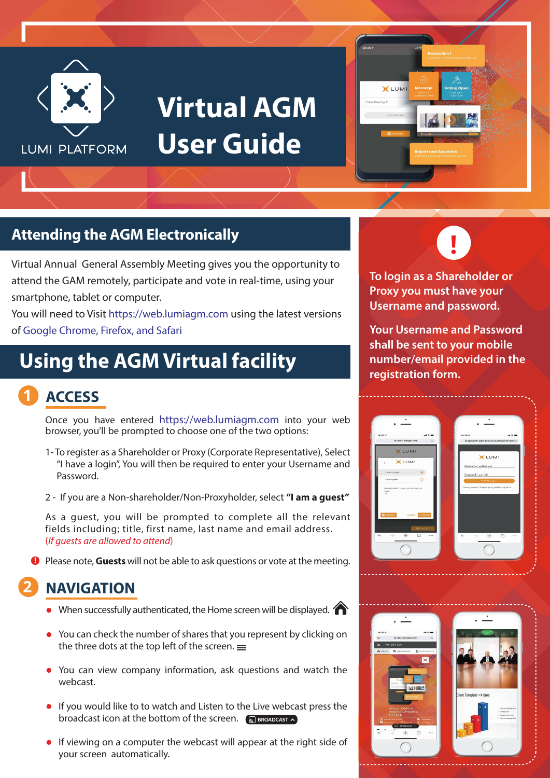

## **Virtual AGM User Guide**



### **Attending the AGM Electronically**

Virtual Annual General Assembly Meeting gives you the opportunity to attend the GAM remotely, participate and vote in real-time, using your smartphone, tablet or computer.

You will need to Visit https://web.lumiagm.com using the latest versions of Google Chrome, Firefox, and Safari

### **Using the AGM Virtual facility**

#### **1 ACCESS**

Once you have entered https://web.lumiagm.com into your web browser, you'll be prompted to choose one of the two options:

- 1- To register as a Shareholder or Proxy (Corporate Representative), Select "I have a login", You will then be required to enter your Username and Password.
- 2 If you are a Non-shareholder/Non-Proxyholder, select **"I am a guest"**

As a guest, you will be prompted to complete all the relevant fields including; title, first name, last name and email address. (*If guests are allowed to attend*)

**P** Please note, Guests will not be able to ask questions or vote at the meeting.

#### **2 NAVIGATION**

- When successfully authenticated, the Home screen will be displayed.
- You can check the number of shares that you represent by clicking on the three dots at the top left of the screen.  $=$
- You can view company information, ask questions and watch the webcast.
- **If you would like to to watch and Listen to the Live webcast press the** broadcast icon at the bottom of the screen. S BROADCAST
- **If viewing on a computer the webcast will appear at the right side of** your screen automatically.



**To login as a Shareholder or Proxy you must have your Username and password.**

**Your Username and Password shall be sent to your mobile number/email provided in the registration form.**



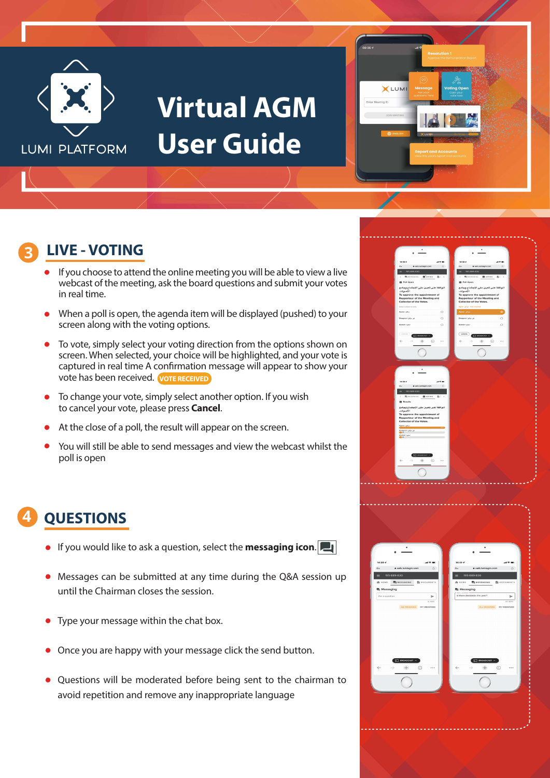

## **Virtual AGM User Guide**



### **3 LIVE - VOTING**

- If you choose to attend the online meeting you will be able to view a live webcast of the meeting, ask the board questions and submit your votes in real time.
- When a poll is open, the agenda item will be displayed (pushed) to your screen along with the voting options.
- To vote, simply select your voting direction from the options shown on screen. When selected, your choice will be highlighted, and your vote is captured in real time A confirmation message will appear to show your vote has been received. **VOTE RECEIVED**
- To change your vote, simply select another option. If you wish to cancel your vote, please press **Cancel**.
- At the close of a poll, the result will appear on the screen.
- You will still be able to send messages and view the webcast whilst the poll is open

#### **4 QUESTIONS**

- **If you would like to ask a question, select the <b>messaging icon.**
- Messages can be submitted at any time during the Q&A session up until the Chairman closes the session.
- Type your message within the chat box.
- Once you are happy with your message click the send button.
- Questions will be moderated before being sent to the chairman to avoid repetition and remove any inappropriate language

| $\bullet$                                                |                                                       |                                                                                             |                                |
|----------------------------------------------------------|-------------------------------------------------------|---------------------------------------------------------------------------------------------|--------------------------------|
|                                                          |                                                       |                                                                                             |                                |
|                                                          |                                                       |                                                                                             |                                |
| 14:39 -                                                  | $\mathbf{a}$ is a set of                              | 14:39 -                                                                                     | $\mathbf{a}$ with $\mathbf{a}$ |
| a web.lumiagm.com<br>$_{0+}$                             | $\circ$                                               | a web.lumlagm.com<br>$O_V$                                                                  | $\mathcal{O}$                  |
| 195-889-830                                              |                                                       | 195-889-830                                                                                 |                                |
| <b>周 HESSAGING</b><br>$\epsilon$                         | <b>EB</b> vonno<br>图 →                                | <b>图</b> MESSAGING<br><b>El</b> vorres<br>$\epsilon$                                        | Bi >                           |
| <b>B</b> Poll Open                                       |                                                       | <b>B</b> Poll Open                                                                          |                                |
| اللوافقة على تعيين مقرر الاجتماع وجامع                   |                                                       | اللوافقة على تعيين مقرر الاجتماع وجامع                                                      |                                |
| الأصوات.                                                 |                                                       | الأصوات.                                                                                    |                                |
| To approve the appointment of                            |                                                       | To approve the appointment of                                                               |                                |
| Rapporteur of the Meeting and<br>Collector of the Votes. |                                                       | Rapporteur of the Meeting and<br>Collector of the Votes.                                    |                                |
|                                                          |                                                       |                                                                                             |                                |
| Select a choice to send.                                 |                                                       | Vote necelved - موافق ( Agree                                                               |                                |
| Agree I Julya                                            | $\circ$                                               | موافق (Agree)                                                                               | ۵                              |
| Disagree I July 2                                        | $\circ$                                               | غير مرافق ( Disagnee                                                                        | $\circ$                        |
| Abstain Lake                                             | $\circ$                                               | Abstain Lyde                                                                                | $\circ$                        |
|                                                          |                                                       |                                                                                             |                                |
| CANCEL <sup>2</sup>                                      |                                                       | CANODA                                                                                      |                                |
| <b>ST</b> INDADEAST                                      |                                                       | <b>STI GRONDCAST</b>                                                                        |                                |
| $\leftarrow$<br>÷                                        | $\Box$<br>                                            | $\leftarrow$<br>÷<br>$\begin{array}{c} \square \\ \square \end{array}$<br>$\longrightarrow$ |                                |
|                                                          |                                                       |                                                                                             |                                |
|                                                          |                                                       |                                                                                             |                                |
|                                                          |                                                       |                                                                                             |                                |
|                                                          |                                                       |                                                                                             |                                |
|                                                          |                                                       |                                                                                             |                                |
|                                                          |                                                       |                                                                                             |                                |
|                                                          |                                                       |                                                                                             |                                |
|                                                          |                                                       |                                                                                             |                                |
|                                                          |                                                       |                                                                                             |                                |
| $14:39-2$                                                | $AB = 0$                                              |                                                                                             |                                |
| a web.lumlagm.com<br>$\sim$                              | $\circ$                                               |                                                                                             |                                |
| 195-889-830                                              |                                                       |                                                                                             |                                |
| 周 MESSAGING 图 VOTING<br>$\epsilon$                       | 西 · >                                                 |                                                                                             |                                |
| <b>B</b> Results                                         |                                                       |                                                                                             |                                |
|                                                          |                                                       |                                                                                             |                                |
| اللوافقة على تعيين مقرر الاجتماع وجامع<br>الأصوات.       |                                                       |                                                                                             |                                |
| To approve the appointment of                            |                                                       |                                                                                             |                                |
| Rapporteur of the Meeting and                            |                                                       |                                                                                             |                                |
| Collector of the Votes.                                  |                                                       |                                                                                             |                                |
| Agree I July .                                           |                                                       |                                                                                             |                                |
| غیر مرافق Disagnee I<br>Com                              |                                                       |                                                                                             |                                |
| Abstain I gain!<br>O en                                  |                                                       |                                                                                             |                                |
|                                                          |                                                       |                                                                                             |                                |
|                                                          |                                                       |                                                                                             |                                |
|                                                          |                                                       |                                                                                             |                                |
| $\Box$ answers $\land$                                   |                                                       |                                                                                             |                                |
| $+$<br>$\leftarrow$                                      | $\begin{array}{c} \square \\ \square \end{array}$<br> |                                                                                             |                                |
|                                                          |                                                       |                                                                                             |                                |
|                                                          |                                                       |                                                                                             |                                |